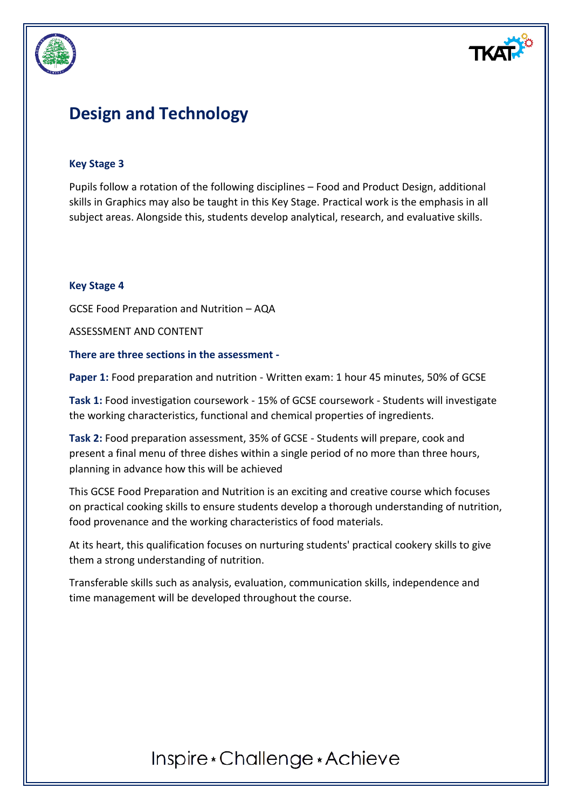

# **Design and Technology**

#### **Key Stage 3**

Pupils follow a rotation of the following disciplines – Food and Product Design, additional skills in Graphics may also be taught in this Key Stage. Practical work is the emphasis in all subject areas. Alongside this, students develop analytical, research, and evaluative skills.

#### **Key Stage 4**

GCSE Food Preparation and Nutrition – AQA

ASSESSMENT AND CONTENT

#### **There are three sections in the assessment -**

**Paper 1:** Food preparation and nutrition - Written exam: 1 hour 45 minutes, 50% of GCSE

**Task 1:** Food investigation coursework - 15% of GCSE coursework - Students will investigate the working characteristics, functional and chemical properties of ingredients.

**Task 2:** Food preparation assessment, 35% of GCSE - Students will prepare, cook and present a final menu of three dishes within a single period of no more than three hours, planning in advance how this will be achieved

This GCSE Food Preparation and Nutrition is an exciting and creative course which focuses on practical cooking skills to ensure students develop a thorough understanding of nutrition, food provenance and the working characteristics of food materials.

At its heart, this qualification focuses on nurturing students' practical cookery skills to give them a strong understanding of nutrition.

Transferable skills such as analysis, evaluation, communication skills, independence and time management will be developed throughout the course.

# Inspire \* Challenge \* Achieve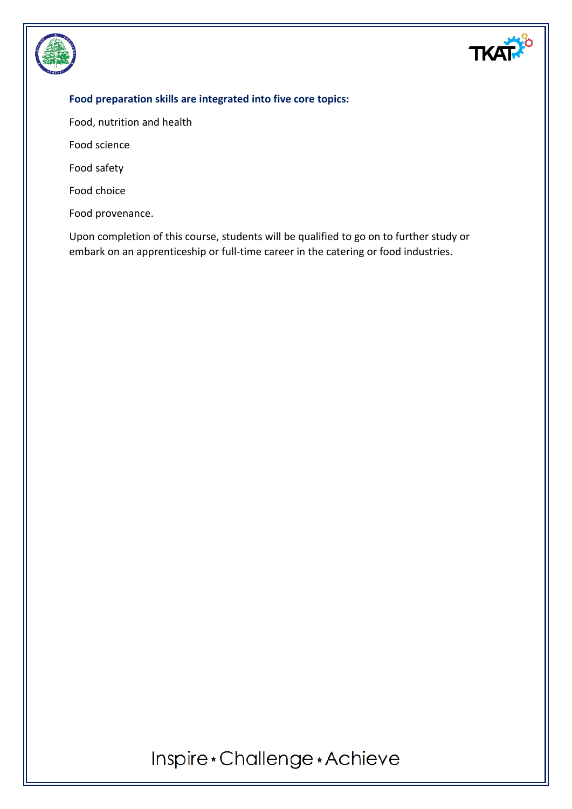

### **Food preparation skills are integrated into five core topics:**

Food, nutrition and health

Food science

Food safety

Food choice

Food provenance.

Upon completion of this course, students will be qualified to go on to further study or embark on an apprenticeship or full-time career in the catering or food industries.

Inspire\*Challenge\*Achieve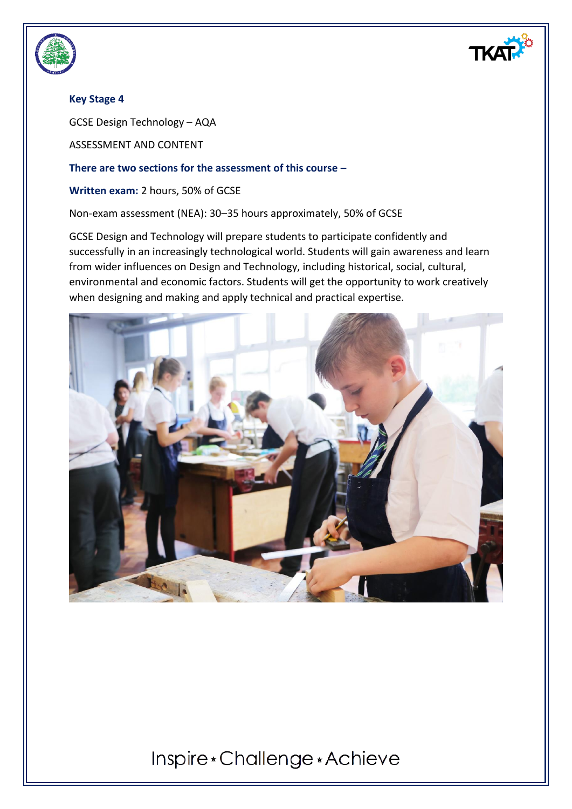

## **Key Stage 4**

GCSE Design Technology – AQA

ASSESSMENT AND CONTENT

#### **There are two sections for the assessment of this course –**

**Written exam:** 2 hours, 50% of GCSE

Non-exam assessment (NEA): 30–35 hours approximately, 50% of GCSE

GCSE Design and Technology will prepare students to participate confidently and successfully in an increasingly technological world. Students will gain awareness and learn from wider influences on Design and Technology, including historical, social, cultural, environmental and economic factors. Students will get the opportunity to work creatively when designing and making and apply technical and practical expertise.



# Inspire \* Challenge \* Achieve